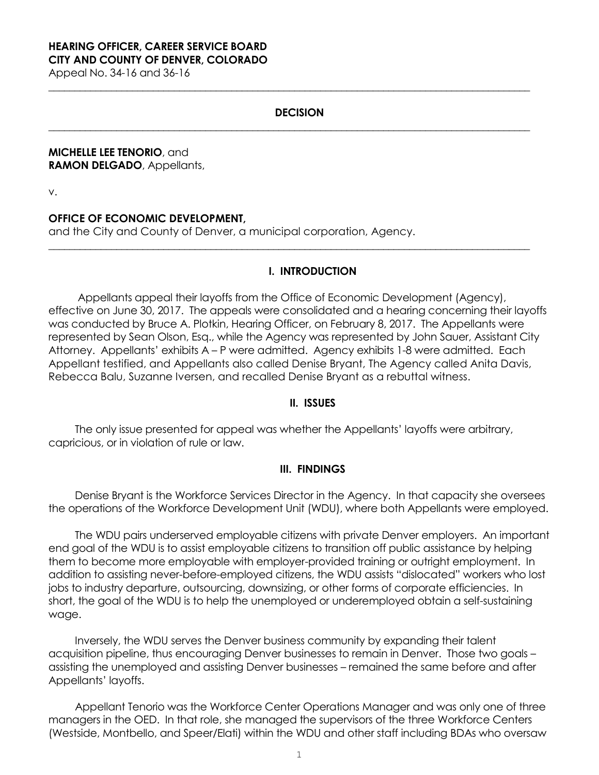#### **HEARING OFFICER, CAREER SERVICE BOARD CITY AND COUNTY OF DENVER, COLORADO**

Appeal No. 34-16 and 36-16

### **DECISION**

**\_\_\_\_\_\_\_\_\_\_\_\_\_\_\_\_\_\_\_\_\_\_\_\_\_\_\_\_\_\_\_\_\_\_\_\_\_\_\_\_\_\_\_\_\_\_\_\_\_\_\_\_\_\_\_\_\_\_\_\_\_\_\_\_\_\_\_\_\_\_\_\_\_\_\_\_\_\_\_\_\_\_\_\_\_\_\_\_\_\_\_\_**

**\_\_\_\_\_\_\_\_\_\_\_\_\_\_\_\_\_\_\_\_\_\_\_\_\_\_\_\_\_\_\_\_\_\_\_\_\_\_\_\_\_\_\_\_\_\_\_\_\_\_\_\_\_\_\_\_\_\_\_\_\_\_\_\_\_\_\_\_\_\_\_\_\_\_\_\_\_\_\_\_\_\_\_\_\_\_\_\_\_\_\_\_**

**\_\_\_\_\_\_\_\_\_\_\_\_\_\_\_\_\_\_\_\_\_\_\_\_\_\_\_\_\_\_\_\_\_\_\_\_\_\_\_\_\_\_\_\_\_\_\_\_\_\_\_\_\_\_\_\_\_\_\_\_\_\_\_\_\_\_\_\_\_\_\_\_\_\_\_\_\_\_\_\_\_\_\_\_\_\_\_\_\_\_\_\_**

#### **MICHELLE LEE TENORIO**, and **RAMON DELGADO**, Appellants,

v.

# **OFFICE OF ECONOMIC DEVELOPMENT,**

and the City and County of Denver, a municipal corporation, Agency.

### **I. INTRODUCTION**

Appellants appeal their layoffs from the Office of Economic Development (Agency), effective on June 30, 2017. The appeals were consolidated and a hearing concerning their layoffs was conducted by Bruce A. Plotkin, Hearing Officer, on February 8, 2017. The Appellants were represented by Sean Olson, Esq., while the Agency was represented by John Sauer, Assistant City Attorney. Appellants' exhibits A – P were admitted. Agency exhibits 1-8 were admitted. Each Appellant testified, and Appellants also called Denise Bryant, The Agency called Anita Davis, Rebecca Balu, Suzanne Iversen, and recalled Denise Bryant as a rebuttal witness.

#### **II. ISSUES**

The only issue presented for appeal was whether the Appellants' layoffs were arbitrary, capricious, or in violation of rule or law.

### **III. FINDINGS**

Denise Bryant is the Workforce Services Director in the Agency. In that capacity she oversees the operations of the Workforce Development Unit (WDU), where both Appellants were employed.

The WDU pairs underserved employable citizens with private Denver employers. An important end goal of the WDU is to assist employable citizens to transition off public assistance by helping them to become more employable with employer-provided training or outright employment. In addition to assisting never-before-employed citizens, the WDU assists "dislocated" workers who lost jobs to industry departure, outsourcing, downsizing, or other forms of corporate efficiencies. In short, the goal of the WDU is to help the unemployed or underemployed obtain a self-sustaining wage.

Inversely, the WDU serves the Denver business community by expanding their talent acquisition pipeline, thus encouraging Denver businesses to remain in Denver. Those two goals – assisting the unemployed and assisting Denver businesses – remained the same before and after Appellants' layoffs.

Appellant Tenorio was the Workforce Center Operations Manager and was only one of three managers in the OED. In that role, she managed the supervisors of the three Workforce Centers (Westside, Montbello, and Speer/Elati) within the WDU and other staff including BDAs who oversaw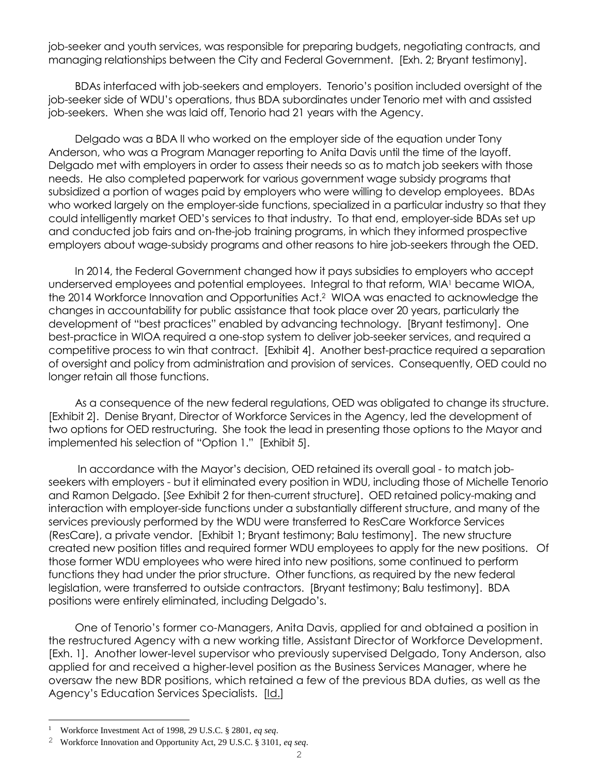job-seeker and youth services, was responsible for preparing budgets, negotiating contracts, and managing relationships between the City and Federal Government. [Exh. 2; Bryant testimony].

BDAs interfaced with job-seekers and employers. Tenorio's position included oversight of the job-seeker side of WDU's operations, thus BDA subordinates under Tenorio met with and assisted job-seekers. When she was laid off, Tenorio had 21 years with the Agency.

Delgado was a BDA II who worked on the employer side of the equation under Tony Anderson, who was a Program Manager reporting to Anita Davis until the time of the layoff. Delgado met with employers in order to assess their needs so as to match job seekers with those needs. He also completed paperwork for various government wage subsidy programs that subsidized a portion of wages paid by employers who were willing to develop employees. BDAs who worked largely on the employer-side functions, specialized in a particular industry so that they could intelligently market OED's services to that industry. To that end, employer-side BDAs set up and conducted job fairs and on-the-job training programs, in which they informed prospective employers about wage-subsidy programs and other reasons to hire job-seekers through the OED.

In 2014, the Federal Government changed how it pays subsidies to employers who accept underserved employees and potential employees. Integral to that reform, WIA<sup>1</sup> became WIOA, the 2014 Workforce Innovation and Opportunities Act.<sup>2</sup> WIOA was enacted to acknowledge the changes in accountability for public assistance that took place over 20 years, particularly the development of "best practices" enabled by advancing technology. [Bryant testimony]. One best-practice in WIOA required a one-stop system to deliver job-seeker services, and required a competitive process to win that contract. [Exhibit 4]. Another best-practice required a separation of oversight and policy from administration and provision of services. Consequently, OED could no longer retain all those functions.

As a consequence of the new federal regulations, OED was obligated to change its structure. [Exhibit 2]. Denise Bryant, Director of Workforce Services in the Agency, led the development of two options for OED restructuring. She took the lead in presenting those options to the Mayor and implemented his selection of "Option 1." [Exhibit 5].

In accordance with the Mayor's decision, OED retained its overall goal - to match jobseekers with employers - but it eliminated every position in WDU, including those of Michelle Tenorio and Ramon Delgado. [*See* Exhibit 2 for then-current structure]. OED retained policy-making and interaction with employer-side functions under a substantially different structure, and many of the services previously performed by the WDU were transferred to ResCare Workforce Services (ResCare), a private vendor. [Exhibit 1; Bryant testimony; Balu testimony]. The new structure created new position titles and required former WDU employees to apply for the new positions. Of those former WDU employees who were hired into new positions, some continued to perform functions they had under the prior structure. Other functions, as required by the new federal legislation, were transferred to outside contractors. [Bryant testimony; Balu testimony]. BDA positions were entirely eliminated, including Delgado's.

One of Tenorio's former co-Managers, Anita Davis, applied for and obtained a position in the restructured Agency with a new working title, Assistant Director of Workforce Development. [Exh. 1]. Another lower-level supervisor who previously supervised Delgado, Tony Anderson, also applied for and received a higher-level position as the Business Services Manager, where he oversaw the new BDR positions, which retained a few of the previous BDA duties, as well as the Agency's Education Services Specialists. [Id.]

<u>.</u>

<sup>1</sup> Workforce Investment Act of 1998, 29 U.S.C. § 2801, *eq seq*.

<sup>2</sup> Workforce Innovation and Opportunity Act, 29 U.S.C. § 3101, *eq seq*.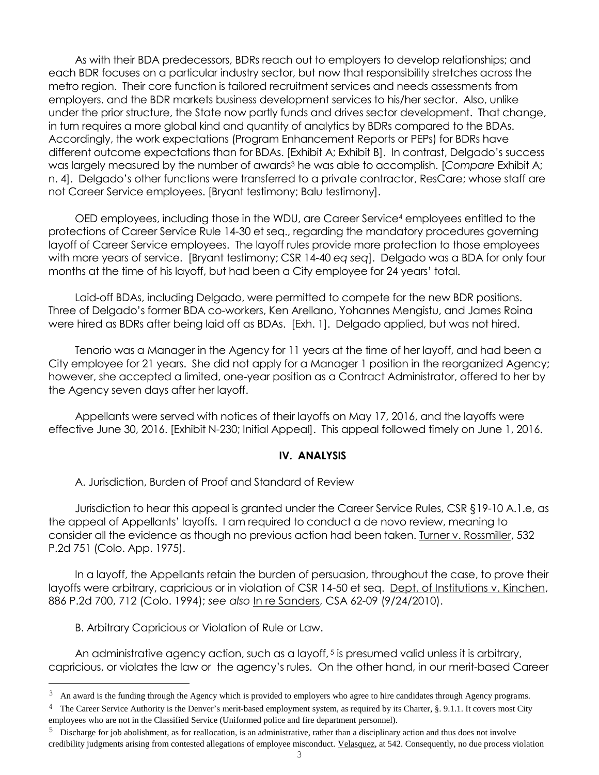As with their BDA predecessors, BDRs reach out to employers to develop relationships; and each BDR focuses on a particular industry sector, but now that responsibility stretches across the metro region. Their core function is tailored recruitment services and needs assessments from employers. and the BDR markets business development services to his/her sector. Also, unlike under the prior structure, the State now partly funds and drives sector development. That change, in turn requires a more global kind and quantity of analytics by BDRs compared to the BDAs. Accordingly, the work expectations (Program Enhancement Reports or PEPs) for BDRs have different outcome expectations than for BDAs. [Exhibit A; Exhibit B]. In contrast, Delgado's success was largely measured by the number of awards<sup>3</sup> he was able to accomplish. [Compare Exhibit A; n. 4]. Delgado's other functions were transferred to a private contractor, ResCare; whose staff are not Career Service employees. [Bryant testimony; Balu testimony].

OED employees, including those in the WDU, are Career Service<sup>4</sup> employees entitled to the protections of Career Service Rule 14-30 et seq., regarding the mandatory procedures governing layoff of Career Service employees. The layoff rules provide more protection to those employees with more years of service. [Bryant testimony; CSR 14-40 *eq seq*].Delgado was a BDA for only four months at the time of his layoff, but had been a City employee for 24 years' total.

Laid-off BDAs, including Delgado, were permitted to compete for the new BDR positions. Three of Delgado's former BDA co-workers, Ken Arellano, Yohannes Mengistu, and James Roina were hired as BDRs after being laid off as BDAs. [Exh. 1]. Delgado applied, but was not hired.

Tenorio was a Manager in the Agency for 11 years at the time of her layoff, and had been a City employee for 21 years. She did not apply for a Manager 1 position in the reorganized Agency; however, she accepted a limited, one-year position as a Contract Administrator, offered to her by the Agency seven days after her layoff.

Appellants were served with notices of their layoffs on May 17, 2016, and the layoffs were effective June 30, 2016. [Exhibit N-230; Initial Appeal]. This appeal followed timely on June 1, 2016.

### **IV. ANALYSIS**

A. Jurisdiction, Burden of Proof and Standard of Review

Jurisdiction to hear this appeal is granted under the Career Service Rules, CSR §19-10 A.1.e, as the appeal of Appellants' layoffs. I am required to conduct a de novo review, meaning to consider all the evidence as though no previous action had been taken. Turner v. Rossmiller, 532 P.2d 751 (Colo. App. 1975).

In a layoff, the Appellants retain the burden of persuasion, throughout the case, to prove their layoffs were arbitrary, capricious or in violation of CSR 14-50 et seq. Dept. of Institutions v. Kinchen, 886 P.2d 700, 712 (Colo. 1994); *see also* In re Sanders, CSA 62-09 (9/24/2010).

B. Arbitrary Capricious or Violation of Rule or Law.

<u>.</u>

An administrative agency action, such as a layoff, <sup>5</sup> is presumed valid unless it is arbitrary, capricious, or violates the law or the agency's rules. On the other hand, in our merit-based Career

<sup>&</sup>lt;sup>3</sup> An award is the funding through the Agency which is provided to employers who agree to hire candidates through Agency programs.

 $4$  The Career Service Authority is the Denver's merit-based employment system, as required by its Charter, §. 9.1.1. It covers most City employees who are not in the Classified Service (Uniformed police and fire department personnel).

<sup>5</sup> Discharge for job abolishment, as for reallocation, is an administrative, rather than a disciplinary action and thus does not involve credibility judgments arising from contested allegations of employee misconduct. Velasquez, at 542. Consequently, no due process violation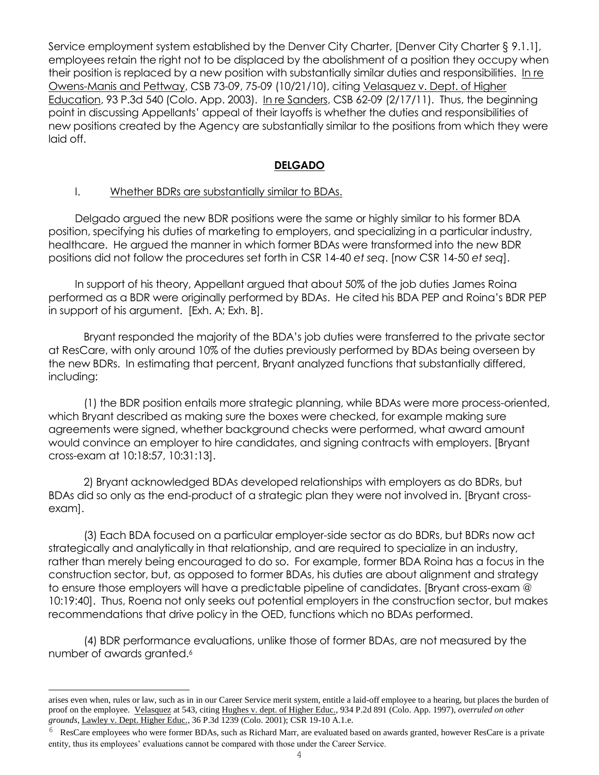Service employment system established by the Denver City Charter, [Denver City Charter § 9.1.1], employees retain the right not to be displaced by the abolishment of a position they occupy when their position is replaced by a new position with substantially similar duties and responsibilities. In re Owens-Manis and Pettway, CSB 73-09, 75-09 (10/21/10), citing Velasquez v. Dept. of Higher Education, 93 P.3d 540 (Colo. App. 2003). In re Sanders, CSB 62-09 (2/17/11). Thus, the beginning point in discussing Appellants' appeal of their layoffs is whether the duties and responsibilities of new positions created by the Agency are substantially similar to the positions from which they were laid off.

## **DELGADO**

## I. Whether BDRs are substantially similar to BDAs.

Delgado argued the new BDR positions were the same or highly similar to his former BDA position, specifying his duties of marketing to employers, and specializing in a particular industry, healthcare. He argued the manner in which former BDAs were transformed into the new BDR positions did not follow the procedures set forth in CSR 14-40 *et seq*. [now CSR 14-50 *et seq*].

In support of his theory, Appellant argued that about 50% of the job duties James Roina performed as a BDR were originally performed by BDAs. He cited his BDA PEP and Roina's BDR PEP in support of his argument. [Exh. A; Exh. B].

Bryant responded the majority of the BDA's job duties were transferred to the private sector at ResCare, with only around 10% of the duties previously performed by BDAs being overseen by the new BDRs. In estimating that percent, Bryant analyzed functions that substantially differed, including:

(1) the BDR position entails more strategic planning, while BDAs were more process-oriented, which Bryant described as making sure the boxes were checked, for example making sure agreements were signed, whether background checks were performed, what award amount would convince an employer to hire candidates, and signing contracts with employers. [Bryant cross-exam at 10:18:57, 10:31:13].

2) Bryant acknowledged BDAs developed relationships with employers as do BDRs, but BDAs did so only as the end-product of a strategic plan they were not involved in. [Bryant crossexam].

(3) Each BDA focused on a particular employer-side sector as do BDRs, but BDRs now act strategically and analytically in that relationship, and are required to specialize in an industry, rather than merely being encouraged to do so. For example, former BDA Roina has a focus in the construction sector, but, as opposed to former BDAs, his duties are about alignment and strategy to ensure those employers will have a predictable pipeline of candidates. [Bryant cross-exam @ 10:19:40]. Thus, Roena not only seeks out potential employers in the construction sector, but makes recommendations that drive policy in the OED, functions which no BDAs performed.

(4) BDR performance evaluations, unlike those of former BDAs, are not measured by the number of awards granted.<sup>6</sup>

L,

arises even when, rules or law, such as in in our Career Service merit system, entitle a laid-off employee to a hearing, but places the burden of proof on the employee. Velasquez at 543, citing Hughes v. dept. of Higher Educ., 934 P.2d 891 (Colo. App. 1997), *overruled on other grounds*, Lawley v. Dept. Higher Educ., 36 P.3d 1239 (Colo. 2001); CSR 19-10 A.1.e.

ResCare employees who were former BDAs, such as Richard Marr, are evaluated based on awards granted, however ResCare is a private entity, thus its employees' evaluations cannot be compared with those under the Career Service.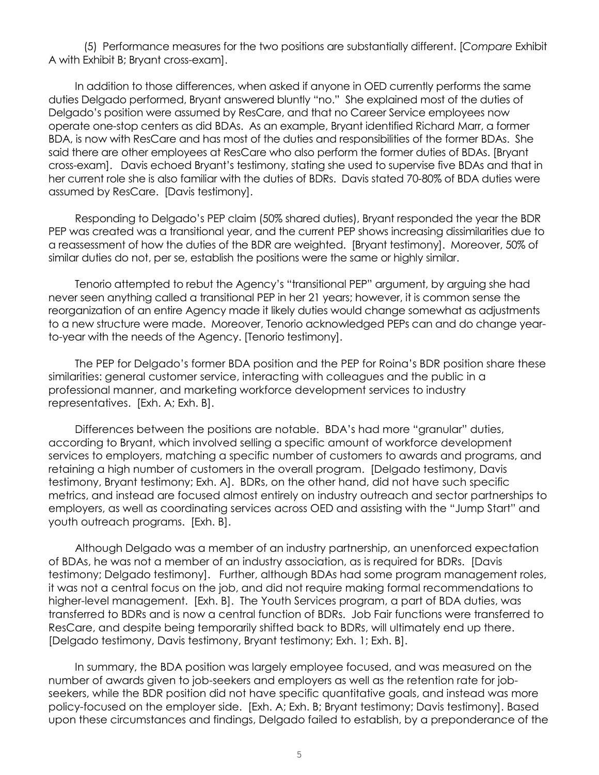(5) Performance measures for the two positions are substantially different. [*Compare* Exhibit A with Exhibit B; Bryant cross-exam].

In addition to those differences, when asked if anyone in OED currently performs the same duties Delgado performed, Bryant answered bluntly "no." She explained most of the duties of Delgado's position were assumed by ResCare, and that no Career Service employees now operate one-stop centers as did BDAs. As an example, Bryant identified Richard Marr, a former BDA, is now with ResCare and has most of the duties and responsibilities of the former BDAs. She said there are other employees at ResCare who also perform the former duties of BDAs. [Bryant cross-exam]. Davis echoed Bryant's testimony, stating she used to supervise five BDAs and that in her current role she is also familiar with the duties of BDRs. Davis stated 70-80% of BDA duties were assumed by ResCare. [Davis testimony].

Responding to Delgado's PEP claim (50% shared duties), Bryant responded the year the BDR PEP was created was a transitional year, and the current PEP shows increasing dissimilarities due to a reassessment of how the duties of the BDR are weighted. [Bryant testimony]. Moreover, 50% of similar duties do not, per se, establish the positions were the same or highly similar.

Tenorio attempted to rebut the Agency's "transitional PEP" argument, by arguing she had never seen anything called a transitional PEP in her 21 years; however, it is common sense the reorganization of an entire Agency made it likely duties would change somewhat as adjustments to a new structure were made. Moreover, Tenorio acknowledged PEPs can and do change yearto-year with the needs of the Agency. [Tenorio testimony].

The PEP for Delgado's former BDA position and the PEP for Roina's BDR position share these similarities: general customer service, interacting with colleagues and the public in a professional manner, and marketing workforce development services to industry representatives. [Exh. A; Exh. B].

Differences between the positions are notable. BDA's had more "granular" duties, according to Bryant, which involved selling a specific amount of workforce development services to employers, matching a specific number of customers to awards and programs, and retaining a high number of customers in the overall program. [Delgado testimony, Davis testimony, Bryant testimony; Exh. A]. BDRs, on the other hand, did not have such specific metrics, and instead are focused almost entirely on industry outreach and sector partnerships to employers, as well as coordinating services across OED and assisting with the "Jump Start" and youth outreach programs. [Exh. B].

Although Delgado was a member of an industry partnership, an unenforced expectation of BDAs, he was not a member of an industry association, as is required for BDRs. [Davis testimony; Delgado testimony]. Further, although BDAs had some program management roles, it was not a central focus on the job, and did not require making formal recommendations to higher-level management. [Exh. B]. The Youth Services program, a part of BDA duties, was transferred to BDRs and is now a central function of BDRs. Job Fair functions were transferred to ResCare, and despite being temporarily shifted back to BDRs, will ultimately end up there. [Delgado testimony, Davis testimony, Bryant testimony; Exh. 1; Exh. B].

In summary, the BDA position was largely employee focused, and was measured on the number of awards given to job-seekers and employers as well as the retention rate for jobseekers, while the BDR position did not have specific quantitative goals, and instead was more policy-focused on the employer side. [Exh. A; Exh. B; Bryant testimony; Davis testimony]. Based upon these circumstances and findings, Delgado failed to establish, by a preponderance of the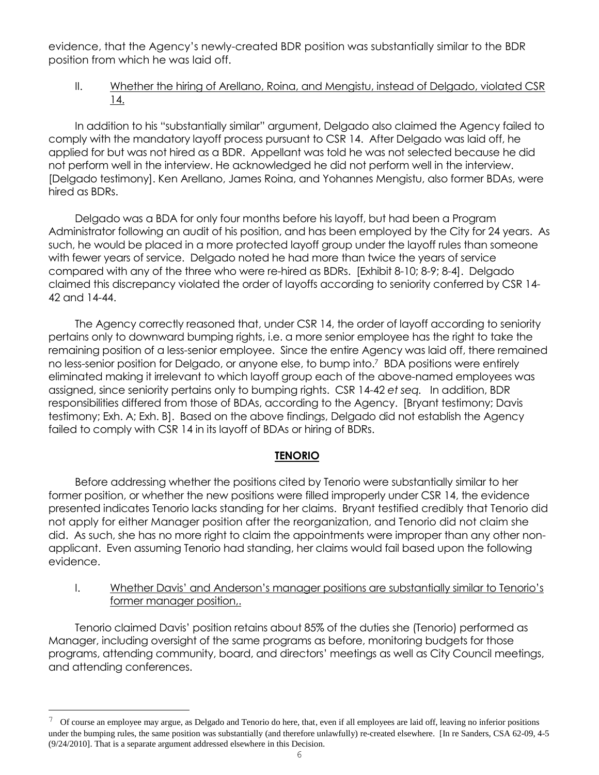evidence, that the Agency's newly-created BDR position was substantially similar to the BDR position from which he was laid off.

# II. Whether the hiring of Arellano, Roina, and Mengistu, instead of Delgado, violated CSR 14.

In addition to his "substantially similar" argument, Delgado also claimed the Agency failed to comply with the mandatory layoff process pursuant to CSR 14. After Delgado was laid off, he applied for but was not hired as a BDR. Appellant was told he was not selected because he did not perform well in the interview. He acknowledged he did not perform well in the interview. [Delgado testimony]. Ken Arellano, James Roina, and Yohannes Mengistu, also former BDAs, were hired as BDRs.

Delgado was a BDA for only four months before his layoff, but had been a Program Administrator following an audit of his position, and has been employed by the City for 24 years. As such, he would be placed in a more protected layoff group under the layoff rules than someone with fewer years of service. Delgado noted he had more than twice the years of service compared with any of the three who were re-hired as BDRs. [Exhibit 8-10; 8-9; 8-4]. Delgado claimed this discrepancy violated the order of layoffs according to seniority conferred by CSR 14- 42 and 14-44.

The Agency correctly reasoned that, under CSR 14, the order of layoff according to seniority pertains only to downward bumping rights, i.e. a more senior employee has the right to take the remaining position of a less-senior employee. Since the entire Agency was laid off, there remained no less-senior position for Delgado, or anyone else, to bump into.<sup>7</sup> BDA positions were entirely eliminated making it irrelevant to which layoff group each of the above-named employees was assigned, since seniority pertains only to bumping rights. CSR 14-42 *et seq.* In addition, BDR responsibilities differed from those of BDAs, according to the Agency. [Bryant testimony; Davis testimony; Exh. A; Exh. B]. Based on the above findings, Delgado did not establish the Agency failed to comply with CSR 14 in its layoff of BDAs or hiring of BDRs.

# **TENORIO**

Before addressing whether the positions cited by Tenorio were substantially similar to her former position, or whether the new positions were filled improperly under CSR 14, the evidence presented indicates Tenorio lacks standing for her claims. Bryant testified credibly that Tenorio did not apply for either Manager position after the reorganization, and Tenorio did not claim she did. As such, she has no more right to claim the appointments were improper than any other nonapplicant. Even assuming Tenorio had standing, her claims would fail based upon the following evidence.

I. Whether Davis' and Anderson's manager positions are substantially similar to Tenorio's former manager position,.

Tenorio claimed Davis' position retains about 85% of the duties she (Tenorio) performed as Manager, including oversight of the same programs as before, monitoring budgets for those programs, attending community, board, and directors' meetings as well as City Council meetings, and attending conferences.

L,

<sup>7</sup> Of course an employee may argue, as Delgado and Tenorio do here, that, even if all employees are laid off, leaving no inferior positions under the bumping rules, the same position was substantially (and therefore unlawfully) re-created elsewhere. [In re Sanders, CSA 62-09, 4-5 (9/24/2010]. That is a separate argument addressed elsewhere in this Decision.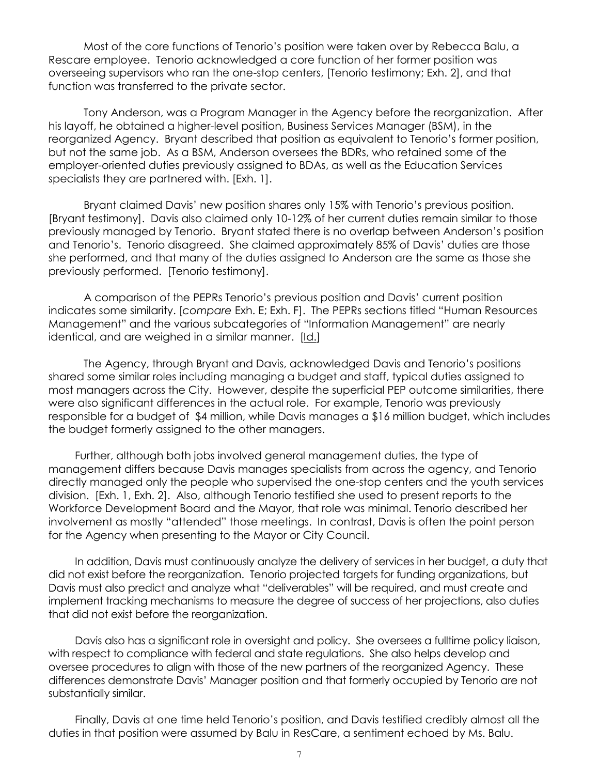Most of the core functions of Tenorio's position were taken over by Rebecca Balu, a Rescare employee. Tenorio acknowledged a core function of her former position was overseeing supervisors who ran the one-stop centers, [Tenorio testimony; Exh. 2], and that function was transferred to the private sector.

Tony Anderson, was a Program Manager in the Agency before the reorganization. After his layoff, he obtained a higher-level position, Business Services Manager (BSM), in the reorganized Agency. Bryant described that position as equivalent to Tenorio's former position, but not the same job. As a BSM, Anderson oversees the BDRs, who retained some of the employer-oriented duties previously assigned to BDAs, as well as the Education Services specialists they are partnered with. [Exh. 1].

Bryant claimed Davis' new position shares only 15% with Tenorio's previous position. [Bryant testimony]. Davis also claimed only 10-12% of her current duties remain similar to those previously managed by Tenorio. Bryant stated there is no overlap between Anderson's position and Tenorio's. Tenorio disagreed. She claimed approximately 85% of Davis' duties are those she performed, and that many of the duties assigned to Anderson are the same as those she previously performed. [Tenorio testimony].

A comparison of the PEPRs Tenorio's previous position and Davis' current position indicates some similarity. [*compare* Exh. E; Exh. F]. The PEPRs sections titled "Human Resources Management" and the various subcategories of "Information Management" are nearly identical, and are weighed in a similar manner. [Id.]

The Agency, through Bryant and Davis, acknowledged Davis and Tenorio's positions shared some similar roles including managing a budget and staff, typical duties assigned to most managers across the City. However, despite the superficial PEP outcome similarities, there were also significant differences in the actual role. For example, Tenorio was previously responsible for a budget of \$4 million, while Davis manages a \$16 million budget, which includes the budget formerly assigned to the other managers.

Further, although both jobs involved general management duties, the type of management differs because Davis manages specialists from across the agency, and Tenorio directly managed only the people who supervised the one-stop centers and the youth services division. [Exh. 1, Exh. 2]. Also, although Tenorio testified she used to present reports to the Workforce Development Board and the Mayor, that role was minimal. Tenorio described her involvement as mostly "attended" those meetings. In contrast, Davis is often the point person for the Agency when presenting to the Mayor or City Council.

In addition, Davis must continuously analyze the delivery of services in her budget, a duty that did not exist before the reorganization. Tenorio projected targets for funding organizations, but Davis must also predict and analyze what "deliverables" will be required, and must create and implement tracking mechanisms to measure the degree of success of her projections, also duties that did not exist before the reorganization.

Davis also has a significant role in oversight and policy. She oversees a fulltime policy liaison, with respect to compliance with federal and state regulations. She also helps develop and oversee procedures to align with those of the new partners of the reorganized Agency. These differences demonstrate Davis' Manager position and that formerly occupied by Tenorio are not substantially similar.

Finally, Davis at one time held Tenorio's position, and Davis testified credibly almost all the duties in that position were assumed by Balu in ResCare, a sentiment echoed by Ms. Balu.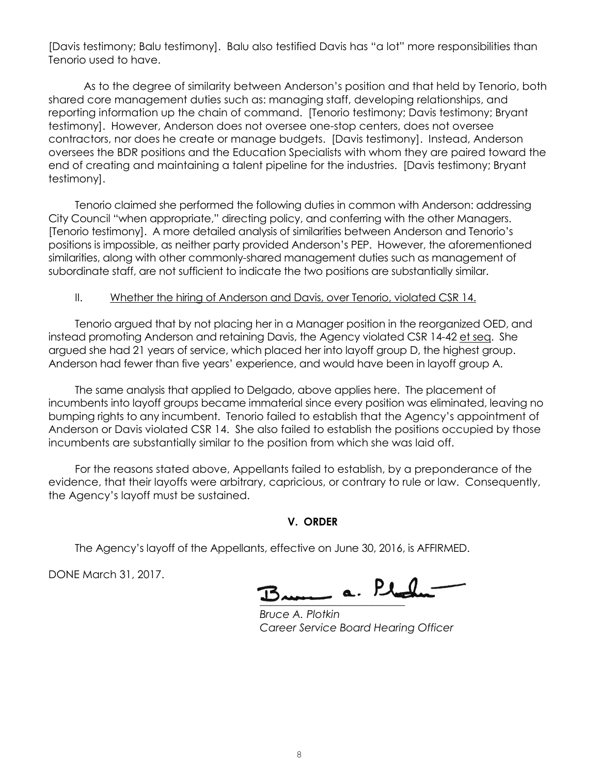[Davis testimony; Balu testimony]. Balu also testified Davis has "a lot" more responsibilities than Tenorio used to have.

As to the degree of similarity between Anderson's position and that held by Tenorio, both shared core management duties such as: managing staff, developing relationships, and reporting information up the chain of command. [Tenorio testimony; Davis testimony; Bryant testimony]. However, Anderson does not oversee one-stop centers, does not oversee contractors, nor does he create or manage budgets. [Davis testimony]. Instead, Anderson oversees the BDR positions and the Education Specialists with whom they are paired toward the end of creating and maintaining a talent pipeline for the industries. [Davis testimony; Bryant testimony].

Tenorio claimed she performed the following duties in common with Anderson: addressing City Council "when appropriate," directing policy, and conferring with the other Managers. [Tenorio testimony]. A more detailed analysis of similarities between Anderson and Tenorio's positions is impossible, as neither party provided Anderson's PEP. However, the aforementioned similarities, along with other commonly-shared management duties such as management of subordinate staff, are not sufficient to indicate the two positions are substantially similar.

#### II. Whether the hiring of Anderson and Davis, over Tenorio, violated CSR 14.

Tenorio argued that by not placing her in a Manager position in the reorganized OED, and instead promoting Anderson and retaining Davis, the Agency violated CSR 14-42 et seq. She argued she had 21 years of service, which placed her into layoff group D, the highest group. Anderson had fewer than five years' experience, and would have been in layoff group A.

The same analysis that applied to Delgado, above applies here. The placement of incumbents into layoff groups became immaterial since every position was eliminated, leaving no bumping rights to any incumbent. Tenorio failed to establish that the Agency's appointment of Anderson or Davis violated CSR 14. She also failed to establish the positions occupied by those incumbents are substantially similar to the position from which she was laid off.

For the reasons stated above, Appellants failed to establish, by a preponderance of the evidence, that their layoffs were arbitrary, capricious, or contrary to rule or law. Consequently, the Agency's layoff must be sustained.

#### **V. ORDER**

The Agency's layoff of the Appellants, effective on June 30, 2016, is AFFIRMED.

DONE March 31, 2017.

<u> 2 p</u>l

*Bruce A. Plotkin Career Service Board Hearing Officer*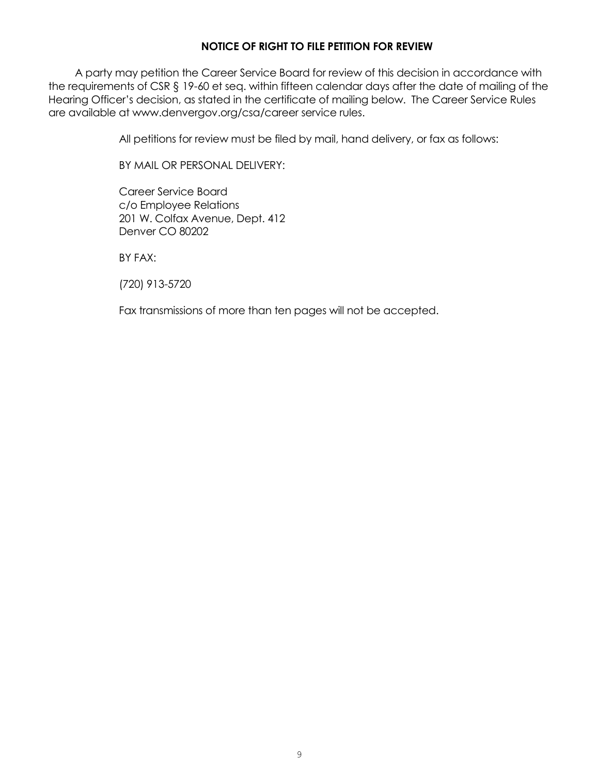## **NOTICE OF RIGHT TO FILE PETITION FOR REVIEW**

A party may petition the Career Service Board for review of this decision in accordance with the requirements of CSR § 19-60 et seq. within fifteen calendar days after the date of mailing of the Hearing Officer's decision, as stated in the certificate of mailing below. The Career Service Rules are available at www.denvergov.org/csa/career service rules.

All petitions for review must be filed by mail, hand delivery, or fax as follows:

BY MAIL OR PERSONAL DELIVERY:

Career Service Board c/o Employee Relations 201 W. Colfax Avenue, Dept. 412 Denver CO 80202

BY FAX:

(720) 913-5720

Fax transmissions of more than ten pages will not be accepted.